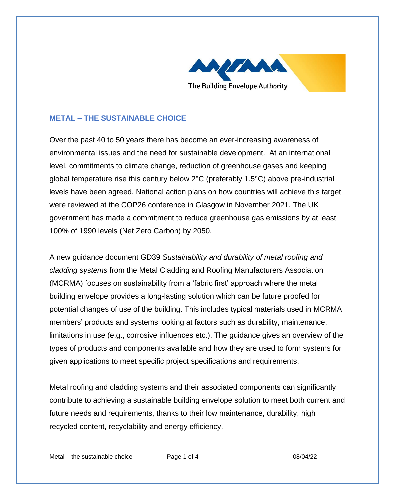

## **METAL – THE SUSTAINABLE CHOICE**

Over the past 40 to 50 years there has become an ever-increasing awareness of environmental issues and the need for sustainable development. At an international level, commitments to climate change, reduction of greenhouse gases and keeping global temperature rise this century below 2°C (preferably 1.5°C) above pre-industrial levels have been agreed. National action plans on how countries will achieve this target were reviewed at the COP26 conference in Glasgow in November 2021. The UK government has made a commitment to reduce greenhouse gas emissions by at least 100% of 1990 levels (Net Zero Carbon) by 2050.

A new guidance document GD39 *Sustainability and durability of metal roofing and cladding systems* from the Metal Cladding and Roofing Manufacturers Association (MCRMA) focuses on sustainability from a 'fabric first' approach where the metal building envelope provides a long-lasting solution which can be future proofed for potential changes of use of the building. This includes typical materials used in MCRMA members' products and systems looking at factors such as durability, maintenance, limitations in use (e.g., corrosive influences etc.). The guidance gives an overview of the types of products and components available and how they are used to form systems for given applications to meet specific project specifications and requirements.

Metal roofing and cladding systems and their associated components can significantly contribute to achieving a sustainable building envelope solution to meet both current and future needs and requirements, thanks to their low maintenance, durability, high recycled content, recyclability and energy efficiency.

Metal – the sustainable choice Page 1 of 4 08/04/22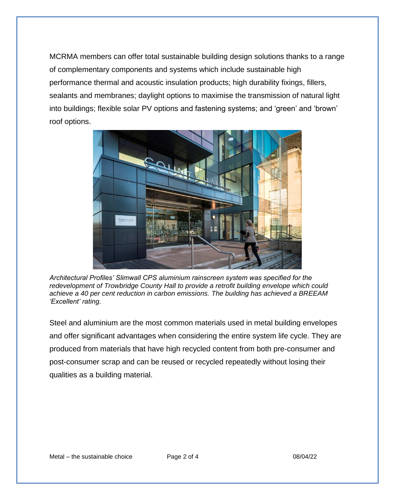MCRMA members can offer total sustainable building design solutions thanks to a range of complementary components and systems which include sustainable high performance thermal and acoustic insulation products; high durability fixings, fillers, sealants and membranes; daylight options to maximise the transmission of natural light into buildings; flexible solar PV options and fastening systems; and 'green' and 'brown' roof options.



*Architectural Profiles' Slimwall CPS aluminium rainscreen system was specified for the redevelopment of Trowbridge County Hall to provide a retrofit building envelope which could achieve a 40 per cent reduction in carbon emissions. The building has achieved a BREEAM 'Excellent' rating.*

Steel and aluminium are the most common materials used in metal building envelopes and offer significant advantages when considering the entire system life cycle. They are produced from materials that have high recycled content from both pre-consumer and post-consumer scrap and can be reused or recycled repeatedly without losing their qualities as a building material.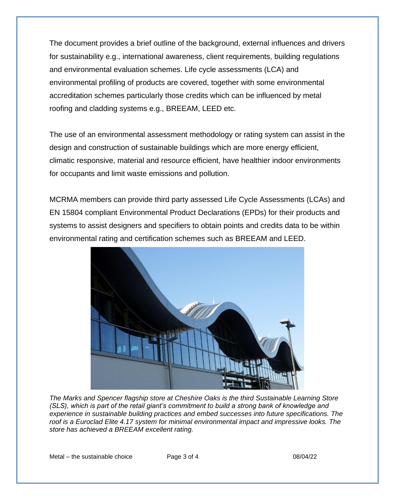The document provides a brief outline of the background, external influences and drivers for sustainability e.g., international awareness, client requirements, building regulations and environmental evaluation schemes. Life cycle assessments (LCA) and environmental profiling of products are covered, together with some environmental accreditation schemes particularly those credits which can be influenced by metal roofing and cladding systems e.g., BREEAM, LEED etc.

The use of an environmental assessment methodology or rating system can assist in the design and construction of sustainable buildings which are more energy efficient, climatic responsive, material and resource efficient, have healthier indoor environments for occupants and limit waste emissions and pollution.

MCRMA members can provide third party assessed Life Cycle Assessments (LCAs) and EN 15804 compliant Environmental Product Declarations (EPDs) for their products and systems to assist designers and specifiers to obtain points and credits data to be within environmental rating and certification schemes such as BREEAM and LEED.



*The Marks and Spencer flagship store at Cheshire Oaks is the third Sustainable Learning Store (SLS), which is part of the retail giant's commitment to build a strong bank of knowledge and experience in sustainable building practices and embed successes into future specifications. The roof is a Euroclad Elite 4.17 system for minimal environmental impact and impressive looks. The store has achieved a BREEAM excellent rating.* 

Metal – the sustainable choice Page 3 of 4 08/04/22